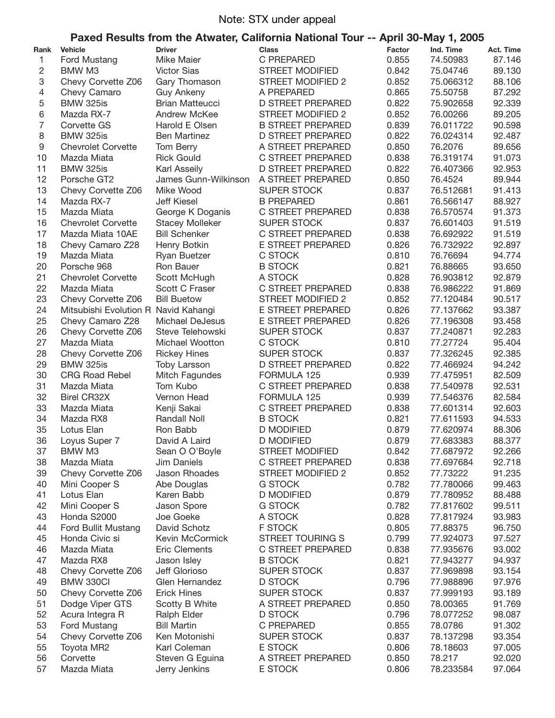## Note: STX under appeal

## **Paxed Results from the Atwater, California National Tour -- April 30-May 1, 2005**

| Rank | <b>Vehicle</b>                       | <b>Driver</b>          | <b>Class</b>             | Factor | Ind. Time | Act. Time        |
|------|--------------------------------------|------------------------|--------------------------|--------|-----------|------------------|
| 1    | Ford Mustang                         | Mike Maier             | C PREPARED               | 0.855  | 74.50983  | 87.146           |
| 2    | BMW M3                               | <b>Victor Sias</b>     | <b>STREET MODIFIED</b>   | 0.842  | 75.04746  | 89.130           |
| 3    | Chevy Corvette Z06                   | Gary Thomason          | <b>STREET MODIFIED 2</b> | 0.852  | 75.066312 | 88.106           |
| 4    | Chevy Camaro                         | <b>Guy Ankeny</b>      | A PREPARED               | 0.865  | 75.50758  | 87.292           |
| 5    | <b>BMW 325is</b>                     | <b>Brian Matteucci</b> | <b>D STREET PREPARED</b> | 0.822  | 75.902658 | 92.339           |
| 6    | Mazda RX-7                           | Andrew McKee           | STREET MODIFIED 2        | 0.852  | 76.00266  | 89.205           |
| 7    | Corvette GS                          | Harold E Olsen         | <b>B STREET PREPARED</b> | 0.839  | 76.011722 | 90.598           |
| 8    | <b>BMW 325is</b>                     | <b>Ben Martinez</b>    | <b>D STREET PREPARED</b> | 0.822  | 76.024314 | 92.487           |
| 9    | <b>Chevrolet Corvette</b>            | Tom Berry              | A STREET PREPARED        | 0.850  | 76.2076   | 89.656           |
| 10   | Mazda Miata                          | <b>Rick Gould</b>      | C STREET PREPARED        | 0.838  | 76.319174 | 91.073           |
| 11   | <b>BMW 325is</b>                     | Karl Asseily           | <b>D STREET PREPARED</b> | 0.822  | 76.407366 | 92.953           |
| 12   | Porsche GT2                          | James Gunn-Wilkinson   | A STREET PREPARED        | 0.850  | 76.4524   | 89.944           |
| 13   |                                      |                        | <b>SUPER STOCK</b>       | 0.837  |           |                  |
| 14   | Chevy Corvette Z06                   | Mike Wood              | <b>B PREPARED</b>        | 0.861  | 76.512681 | 91.413<br>88.927 |
|      | Mazda RX-7                           | <b>Jeff Kiesel</b>     |                          |        | 76.566147 |                  |
| 15   | Mazda Miata                          | George K Doganis       | C STREET PREPARED        | 0.838  | 76.570574 | 91.373           |
| 16   | <b>Chevrolet Corvette</b>            | <b>Stacey Molleker</b> | <b>SUPER STOCK</b>       | 0.837  | 76.601403 | 91.519           |
| 17   | Mazda Miata 10AE                     | <b>Bill Schenker</b>   | C STREET PREPARED        | 0.838  | 76.692922 | 91.519           |
| 18   | Chevy Camaro Z28                     | Henry Botkin           | E STREET PREPARED        | 0.826  | 76.732922 | 92.897           |
| 19   | Mazda Miata                          | Ryan Buetzer           | C STOCK                  | 0.810  | 76.76694  | 94.774           |
| 20   | Porsche 968                          | Ron Bauer              | <b>B STOCK</b>           | 0.821  | 76.88665  | 93.650           |
| 21   | <b>Chevrolet Corvette</b>            | Scott McHugh           | A STOCK                  | 0.828  | 76.903812 | 92.879           |
| 22   | Mazda Miata                          | Scott C Fraser         | C STREET PREPARED        | 0.838  | 76.986222 | 91.869           |
| 23   | Chevy Corvette Z06                   | <b>Bill Buetow</b>     | <b>STREET MODIFIED 2</b> | 0.852  | 77.120484 | 90.517           |
| 24   | Mitsubishi Evolution R Navid Kahangi |                        | E STREET PREPARED        | 0.826  | 77.137662 | 93.387           |
| 25   | Chevy Camaro Z28                     | Michael DeJesus        | E STREET PREPARED        | 0.826  | 77.196308 | 93.458           |
| 26   | Chevy Corvette Z06                   | Steve Telehowski       | <b>SUPER STOCK</b>       | 0.837  | 77.240871 | 92.283           |
| 27   | Mazda Miata                          | Michael Wootton        | C STOCK                  | 0.810  | 77.27724  | 95.404           |
| 28   | Chevy Corvette Z06                   | <b>Rickey Hines</b>    | <b>SUPER STOCK</b>       | 0.837  | 77.326245 | 92.385           |
| 29   | <b>BMW 325is</b>                     | <b>Toby Larsson</b>    | <b>D STREET PREPARED</b> | 0.822  | 77.466924 | 94.242           |
| 30   | <b>CRG Road Rebel</b>                | Mitch Fagundes         | FORMULA 125              | 0.939  | 77.475951 | 82.509           |
| 31   | Mazda Miata                          | Tom Kubo               | C STREET PREPARED        | 0.838  | 77.540978 | 92.531           |
| 32   | <b>Birel CR32X</b>                   | Vernon Head            | FORMULA 125              | 0.939  | 77.546376 | 82.584           |
| 33   | Mazda Miata                          | Kenji Sakai            | C STREET PREPARED        | 0.838  | 77.601314 | 92.603           |
| 34   | Mazda RX8                            | Randall Noll           | <b>B STOCK</b>           | 0.821  | 77.611593 | 94.533           |
| 35   | Lotus Elan                           | Ron Babb               | <b>D MODIFIED</b>        | 0.879  | 77.620974 | 88.306           |
| 36   | Loyus Super 7                        | David A Laird          | <b>D MODIFIED</b>        | 0.879  | 77.683383 | 88.377           |
| 37   | BMW M3                               | Sean O O'Boyle         | <b>STREET MODIFIED</b>   | 0.842  | 77.687972 | 92.266           |
| 38   | Mazda Miata                          | Jim Daniels            | C STREET PREPARED        | 0.838  | 77.697684 | 92.718           |
| 39   | Chevy Corvette Z06                   | Jason Rhoades          | STREET MODIFIED 2        | 0.852  | 77.73222  | 91.235           |
| 40   | Mini Cooper S                        | Abe Douglas            | G STOCK                  | 0.782  | 77.780066 | 99.463           |
| 41   | Lotus Elan                           | Karen Babb             | <b>D MODIFIED</b>        | 0.879  | 77.780952 | 88.488           |
| 42   | Mini Cooper S                        | Jason Spore            | G STOCK                  | 0.782  | 77.817602 | 99.511           |
| 43   | Honda S2000                          | Joe Goeke              | A STOCK                  | 0.828  | 77.817924 | 93.983           |
| 44   | Ford Bullit Mustang                  | David Schotz           | F STOCK                  | 0.805  | 77.88375  | 96.750           |
| 45   | Honda Civic si                       | Kevin McCormick        | <b>STREET TOURING S</b>  | 0.799  | 77.924073 | 97.527           |
| 46   | Mazda Miata                          | <b>Eric Clements</b>   | C STREET PREPARED        | 0.838  | 77.935676 | 93.002           |
| 47   | Mazda RX8                            | Jason Isley            | <b>B STOCK</b>           | 0.821  | 77.943277 | 94.937           |
| 48   | Chevy Corvette Z06                   | Jeff Glorioso          | <b>SUPER STOCK</b>       | 0.837  | 77.969898 | 93.154           |
| 49   | <b>BMW 330CI</b>                     | Glen Hernandez         | D STOCK                  | 0.796  | 77.988896 | 97.976           |
| 50   | Chevy Corvette Z06                   | <b>Erick Hines</b>     | <b>SUPER STOCK</b>       | 0.837  | 77.999193 | 93.189           |
| 51   | Dodge Viper GTS                      | Scotty B White         | A STREET PREPARED        | 0.850  | 78.00365  | 91.769           |
| 52   | Acura Integra R                      | Ralph Elder            | <b>D STOCK</b>           | 0.796  | 78.077252 | 98.087           |
| 53   | Ford Mustang                         | <b>Bill Martin</b>     | C PREPARED               | 0.855  | 78.0786   | 91.302           |
| 54   | Chevy Corvette Z06                   | Ken Motonishi          | <b>SUPER STOCK</b>       | 0.837  | 78.137298 | 93.354           |
| 55   | Toyota MR2                           | Karl Coleman           | E STOCK                  | 0.806  | 78.18603  | 97.005           |
| 56   | Corvette                             | Steven G Eguina        | A STREET PREPARED        | 0.850  | 78.217    | 92.020           |
| 57   | Mazda Miata                          | Jerry Jenkins          | E STOCK                  | 0.806  | 78.233584 | 97.064           |
|      |                                      |                        |                          |        |           |                  |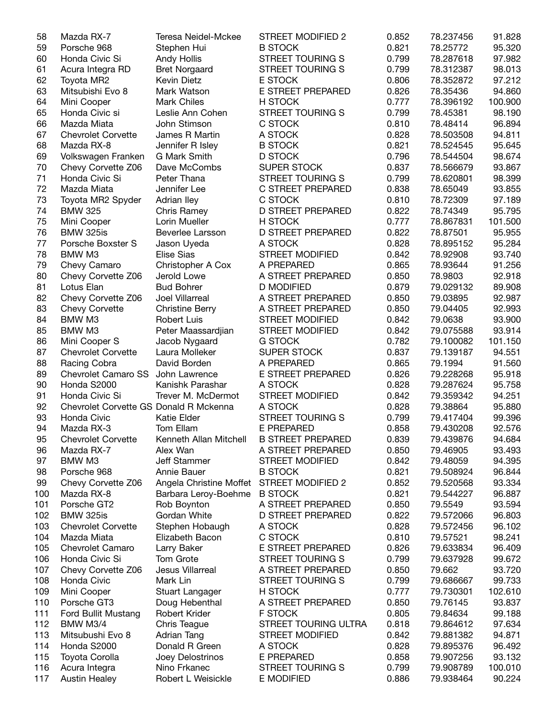| 58  | Mazda RX-7                             | Teresa Neidel-Mckee                       | STREET MODIFIED 2        | 0.852 | 78.237456 | 91.828  |
|-----|----------------------------------------|-------------------------------------------|--------------------------|-------|-----------|---------|
| 59  | Porsche 968                            | Stephen Hui                               | <b>B STOCK</b>           | 0.821 | 78.25772  | 95.320  |
| 60  | Honda Civic Si                         | Andy Hollis                               | STREET TOURING S         | 0.799 | 78.287618 | 97.982  |
| 61  | Acura Integra RD                       | <b>Bret Norgaard</b>                      | <b>STREET TOURING S</b>  | 0.799 | 78.312387 | 98.013  |
| 62  | Toyota MR2                             | Kevin Dietz                               | E STOCK                  | 0.806 | 78.352872 | 97.212  |
| 63  | Mitsubishi Evo 8                       | Mark Watson                               | E STREET PREPARED        | 0.826 | 78.35436  | 94.860  |
| 64  | Mini Cooper                            | <b>Mark Chiles</b>                        | H STOCK                  | 0.777 | 78.396192 | 100.900 |
| 65  | Honda Civic si                         | Leslie Ann Cohen                          | <b>STREET TOURING S</b>  | 0.799 | 78.45381  | 98.190  |
| 66  | Mazda Miata                            | John Stimson                              | C STOCK                  | 0.810 | 78.48414  | 96.894  |
|     |                                        |                                           |                          |       |           |         |
| 67  | <b>Chevrolet Corvette</b>              | James R Martin                            | A STOCK                  | 0.828 | 78.503508 | 94.811  |
| 68  | Mazda RX-8                             | Jennifer R Isley                          | <b>B STOCK</b>           | 0.821 | 78.524545 | 95.645  |
| 69  | Volkswagen Franken                     | <b>G Mark Smith</b>                       | <b>D STOCK</b>           | 0.796 | 78.544504 | 98.674  |
| 70  | Chevy Corvette Z06                     | Dave McCombs                              | <b>SUPER STOCK</b>       | 0.837 | 78.566679 | 93.867  |
| 71  | Honda Civic Si                         | Peter Thana                               | <b>STREET TOURING S</b>  | 0.799 | 78.620801 | 98.399  |
| 72  | Mazda Miata                            | Jennifer Lee                              | C STREET PREPARED        | 0.838 | 78.65049  | 93.855  |
| 73  | Toyota MR2 Spyder                      | Adrian Iley                               | C STOCK                  | 0.810 | 78.72309  | 97.189  |
| 74  | <b>BMW 325</b>                         | Chris Ramey                               | <b>D STREET PREPARED</b> | 0.822 | 78.74349  | 95.795  |
| 75  | Mini Cooper                            | Lorin Mueller                             | H STOCK                  | 0.777 | 78.867831 | 101.500 |
| 76  | <b>BMW 325is</b>                       | Beverlee Larsson                          | <b>D STREET PREPARED</b> | 0.822 | 78.87501  | 95.955  |
| 77  | Porsche Boxster S                      | Jason Uyeda                               | A STOCK                  | 0.828 | 78.895152 | 95.284  |
| 78  | BMW M3                                 | <b>Elise Sias</b>                         | <b>STREET MODIFIED</b>   | 0.842 | 78.92908  | 93.740  |
| 79  | Chevy Camaro                           | Christopher A Cox                         | A PREPARED               | 0.865 | 78.93644  | 91.256  |
| 80  | Chevy Corvette Z06                     | Jerold Lowe                               | A STREET PREPARED        | 0.850 | 78.9803   | 92.918  |
| 81  | Lotus Elan                             | <b>Bud Bohrer</b>                         | <b>D MODIFIED</b>        | 0.879 | 79.029132 | 89.908  |
| 82  |                                        | Joel Villarreal                           | A STREET PREPARED        | 0.850 | 79.03895  | 92.987  |
|     | Chevy Corvette Z06                     |                                           |                          |       |           |         |
| 83  | <b>Chevy Corvette</b>                  | <b>Christine Berry</b>                    | A STREET PREPARED        | 0.850 | 79.04405  | 92.993  |
| 84  | BMW M3                                 | <b>Robert Luis</b>                        | <b>STREET MODIFIED</b>   | 0.842 | 79.0638   | 93.900  |
| 85  | BMW M3                                 | Peter Maassardjian                        | <b>STREET MODIFIED</b>   | 0.842 | 79.075588 | 93.914  |
| 86  | Mini Cooper S                          | Jacob Nygaard                             | <b>G STOCK</b>           | 0.782 | 79.100082 | 101.150 |
| 87  | <b>Chevrolet Corvette</b>              | Laura Molleker                            | <b>SUPER STOCK</b>       | 0.837 | 79.139187 | 94.551  |
| 88  | Racing Cobra                           | David Borden                              | A PREPARED               | 0.865 | 79.1994   | 91.560  |
| 89  | Chevrolet Camaro SS                    | John Lawrence                             | E STREET PREPARED        | 0.826 | 79.228268 | 95.918  |
| 90  | Honda S2000                            | Kanishk Parashar                          | A STOCK                  | 0.828 | 79.287624 | 95.758  |
| 91  | Honda Civic Si                         | Trever M. McDermot                        | STREET MODIFIED          | 0.842 | 79.359342 | 94.251  |
| 92  | Chevrolet Corvette GS Donald R Mckenna |                                           | A STOCK                  | 0.828 | 79.38864  | 95.880  |
| 93  | Honda Civic                            | Katie Elder                               | <b>STREET TOURING S</b>  | 0.799 | 79.417404 | 99.396  |
| 94  | Mazda RX-3                             | Tom Ellam                                 | <b>E PREPARED</b>        | 0.858 | 79.430208 | 92.576  |
| 95  | <b>Chevrolet Corvette</b>              | Kenneth Allan Mitchell                    | <b>B STREET PREPARED</b> | 0.839 | 79.439876 | 94.684  |
|     | Mazda RX-7                             | Alex Wan                                  | A STREET PREPARED        | 0.850 | 79.46905  | 93.493  |
| 96  |                                        | <b>Jeff Stammer</b>                       |                          | 0.842 |           |         |
| 97  | BMW M3                                 |                                           | <b>STREET MODIFIED</b>   |       | 79.48059  | 94.395  |
| 98  | Porsche 968                            | Annie Bauer                               | <b>B STOCK</b>           | 0.821 | 79.508924 | 96.844  |
| 99  | Chevy Corvette Z06                     | Angela Christine Moffet STREET MODIFIED 2 |                          | 0.852 | 79.520568 | 93.334  |
| 100 | Mazda RX-8                             | Barbara Leroy-Boehme                      | <b>B STOCK</b>           | 0.821 | 79.544227 | 96.887  |
| 101 | Porsche GT2                            | Rob Boynton                               | A STREET PREPARED        | 0.850 | 79.5549   | 93.594  |
| 102 | <b>BMW 325is</b>                       | Gordan White                              | <b>D STREET PREPARED</b> | 0.822 | 79.572066 | 96.803  |
| 103 | <b>Chevrolet Corvette</b>              | Stephen Hobaugh                           | A STOCK                  | 0.828 | 79.572456 | 96.102  |
| 104 | Mazda Miata                            | Elizabeth Bacon                           | C STOCK                  | 0.810 | 79.57521  | 98.241  |
| 105 | <b>Chevrolet Camaro</b>                | Larry Baker                               | E STREET PREPARED        | 0.826 | 79.633834 | 96.409  |
| 106 | Honda Civic Si                         | Tom Grote                                 | <b>STREET TOURING S</b>  | 0.799 | 79.637928 | 99.672  |
| 107 | Chevy Corvette Z06                     | Jesus Villarreal                          | A STREET PREPARED        | 0.850 | 79.662    | 93.720  |
| 108 | Honda Civic                            | Mark Lin                                  | <b>STREET TOURING S</b>  | 0.799 | 79.686667 | 99.733  |
| 109 | Mini Cooper                            | Stuart Langager                           | H STOCK                  | 0.777 | 79.730301 | 102.610 |
| 110 | Porsche GT3                            | Doug Hebenthal                            | A STREET PREPARED        | 0.850 | 79.76145  | 93.837  |
|     |                                        |                                           |                          |       |           |         |
| 111 | Ford Bullit Mustang                    | Robert Krider                             | <b>F STOCK</b>           | 0.805 | 79.84634  | 99.188  |
| 112 | BMW M3/4                               | Chris Teague                              | STREET TOURING ULTRA     | 0.818 | 79.864612 | 97.634  |
| 113 | Mitsubushi Evo 8                       | Adrian Tang                               | <b>STREET MODIFIED</b>   | 0.842 | 79.881382 | 94.871  |
| 114 | Honda S2000                            | Donald R Green                            | A STOCK                  | 0.828 | 79.895376 | 96.492  |
| 115 | Toyota Corolla                         | Joey Delostrinos                          | E PREPARED               | 0.858 | 79.907256 | 93.132  |
| 116 | Acura Integra                          | Nino Frkanec                              | <b>STREET TOURING S</b>  | 0.799 | 79.908789 | 100.010 |
| 117 | <b>Austin Healey</b>                   | Robert L Weisickle                        | E MODIFIED               | 0.886 | 79.938464 | 90.224  |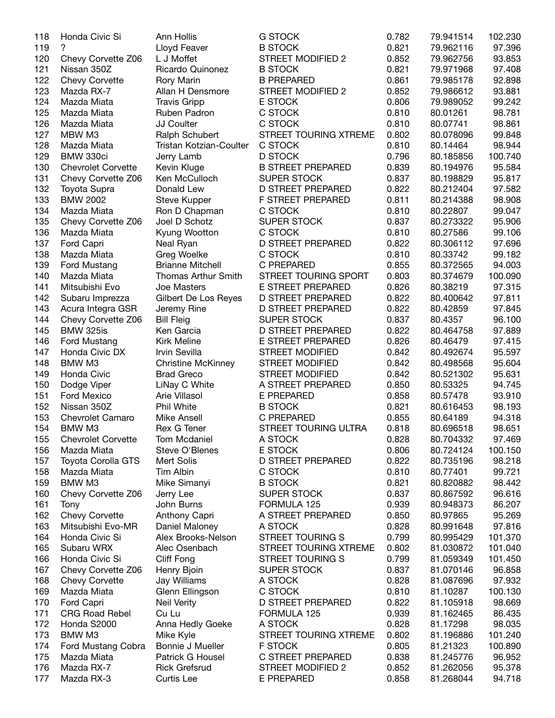| 118 | Honda Civic Si            | Ann Hollis                 | <b>G STOCK</b>           | 0.782 | 79.941514 | 102.230 |
|-----|---------------------------|----------------------------|--------------------------|-------|-----------|---------|
| 119 | ?                         | Lloyd Feaver               | <b>B STOCK</b>           | 0.821 | 79.962116 | 97.396  |
| 120 | Chevy Corvette Z06        | L J Moffet                 | <b>STREET MODIFIED 2</b> | 0.852 | 79.962756 | 93.853  |
| 121 | Nissan 350Z               | Ricardo Quinonez           | <b>B STOCK</b>           | 0.821 | 79.971968 | 97.408  |
| 122 | Chevy Corvette            | Rory Marin                 | <b>B PREPARED</b>        | 0.861 | 79.985178 | 92.898  |
| 123 | Mazda RX-7                | Allan H Densmore           | STREET MODIFIED 2        | 0.852 | 79.986612 | 93.881  |
| 124 | Mazda Miata               | <b>Travis Gripp</b>        | E STOCK                  | 0.806 | 79.989052 | 99.242  |
| 125 |                           |                            | C STOCK                  | 0.810 | 80.01261  | 98.781  |
|     | Mazda Miata               | Ruben Padron               |                          |       |           |         |
| 126 | Mazda Miata               | <b>JJ Coulter</b>          | C STOCK                  | 0.810 | 80.07741  | 98.861  |
| 127 | MBW M3                    | Ralph Schubert             | STREET TOURING XTREME    | 0.802 | 80.078096 | 99.848  |
| 128 | Mazda Miata               | Tristan Kotzian-Coulter    | C STOCK                  | 0.810 | 80.14464  | 98.944  |
| 129 | BMW 330ci                 | Jerry Lamb                 | <b>D STOCK</b>           | 0.796 | 80.185856 | 100.740 |
| 130 | <b>Chevrolet Corvette</b> | Kevin Kluge                | <b>B STREET PREPARED</b> | 0.839 | 80.194976 | 95.584  |
| 131 | Chevy Corvette Z06        | Ken McCulloch              | <b>SUPER STOCK</b>       | 0.837 | 80.198829 | 95.817  |
| 132 | Toyota Supra              | Donald Lew                 | <b>D STREET PREPARED</b> | 0.822 | 80.212404 | 97.582  |
| 133 | <b>BMW 2002</b>           | Steve Kupper               | F STREET PREPARED        | 0.811 | 80.214388 | 98.908  |
| 134 | Mazda Miata               | Ron D Chapman              | C STOCK                  | 0.810 | 80.22807  | 99.047  |
| 135 | Chevy Corvette Z06        | Joel D Schotz              | <b>SUPER STOCK</b>       | 0.837 | 80.273322 | 95.906  |
| 136 | Mazda Miata               | Kyung Wootton              | C STOCK                  | 0.810 | 80.27586  | 99.106  |
| 137 | Ford Capri                | Neal Ryan                  | <b>D STREET PREPARED</b> | 0.822 | 80.306112 | 97.696  |
| 138 |                           | Greg Woelke                | C STOCK                  | 0.810 |           | 99.182  |
|     | Mazda Miata               |                            |                          |       | 80.33742  |         |
| 139 | Ford Mustang              | <b>Brianne Mitchell</b>    | C PREPARED               | 0.855 | 80.372565 | 94.003  |
| 140 | Mazda Miata               | <b>Thomas Arthur Smith</b> | STREET TOURING SPORT     | 0.803 | 80.374679 | 100.090 |
| 141 | Mitsubishi Evo            | Joe Masters                | E STREET PREPARED        | 0.826 | 80.38219  | 97.315  |
| 142 | Subaru Imprezza           | Gilbert De Los Reyes       | <b>D STREET PREPARED</b> | 0.822 | 80.400642 | 97.811  |
| 143 | Acura Integra GSR         | Jeremy Rine                | <b>D STREET PREPARED</b> | 0.822 | 80.42859  | 97.845  |
| 144 | Chevy Corvette Z06        | <b>Bill Fleig</b>          | <b>SUPER STOCK</b>       | 0.837 | 80.4357   | 96.100  |
| 145 | <b>BMW 325is</b>          | Ken Garcia                 | <b>D STREET PREPARED</b> | 0.822 | 80.464758 | 97.889  |
| 146 | Ford Mustang              | <b>Kirk Meline</b>         | E STREET PREPARED        | 0.826 | 80.46479  | 97.415  |
| 147 | Honda Civic DX            | Irvin Sevilla              | <b>STREET MODIFIED</b>   | 0.842 | 80.492674 | 95.597  |
| 148 | BMW M3                    | <b>Christine McKinney</b>  | <b>STREET MODIFIED</b>   | 0.842 | 80.498568 | 95.604  |
| 149 | Honda Civic               | <b>Brad Greco</b>          | <b>STREET MODIFIED</b>   | 0.842 | 80.521302 | 95.631  |
| 150 | Dodge Viper               | LiNay C White              | A STREET PREPARED        | 0.850 | 80.53325  | 94.745  |
| 151 | <b>Ford Mexico</b>        | Arie Villasol              | E PREPARED               | 0.858 | 80.57478  | 93.910  |
|     |                           |                            |                          |       |           |         |
| 152 | Nissan 350Z               | Phil White                 | <b>B STOCK</b>           | 0.821 | 80.616453 | 98.193  |
| 153 | Chevrolet Camaro          | <b>Mike Ansell</b>         | C PREPARED               | 0.855 | 80.64189  | 94.318  |
| 154 | BMW M3                    | Rex G Tener                | STREET TOURING ULTRA     | 0.818 | 80.696518 | 98.651  |
| 155 | <b>Chevrolet Corvette</b> | Tom Mcdaniel               | A STOCK                  | 0.828 | 80.704332 | 97.469  |
| 156 | Mazda Miata               | Steve O'Blenes             | E STOCK                  | 0.806 | 80.724124 | 100.150 |
| 157 | <b>Toyota Corolla GTS</b> | Mert Solis                 | D STREET PREPARED        | 0.822 | 80.735196 | 98.218  |
| 158 | Mazda Miata               | Tim Albin                  | C STOCK                  | 0.810 | 80.77401  | 99.721  |
| 159 | BMW M3                    | Mike Simanyi               | <b>B STOCK</b>           | 0.821 | 80.820882 | 98.442  |
| 160 | Chevy Corvette Z06        | Jerry Lee                  | <b>SUPER STOCK</b>       | 0.837 | 80.867592 | 96.616  |
| 161 | Tony                      | John Burns                 | FORMULA 125              | 0.939 | 80.948373 | 86.207  |
| 162 | <b>Chevy Corvette</b>     | Anthony Capri              | A STREET PREPARED        | 0.850 | 80.97865  | 95.269  |
| 163 | Mitsubishi Evo-MR         | Daniel Maloney             | A STOCK                  | 0.828 | 80.991648 | 97.816  |
| 164 | Honda Civic Si            | Alex Brooks-Nelson         | <b>STREET TOURING S</b>  | 0.799 | 80.995429 | 101.370 |
| 165 | Subaru WRX                | Alec Osenbach              | STREET TOURING XTREME    | 0.802 | 81.030872 | 101.040 |
|     |                           |                            |                          |       |           |         |
| 166 | Honda Civic Si            | Cliff Fong                 | <b>STREET TOURING S</b>  | 0.799 | 81.059349 | 101.450 |
| 167 | Chevy Corvette Z06        | Henry Bjoin                | <b>SUPER STOCK</b>       | 0.837 | 81.070146 | 96.858  |
| 168 | <b>Chevy Corvette</b>     | Jay Williams               | A STOCK                  | 0.828 | 81.087696 | 97.932  |
| 169 | Mazda Miata               | Glenn Ellingson            | C STOCK                  | 0.810 | 81.10287  | 100.130 |
| 170 | Ford Capri                | <b>Neil Verity</b>         | D STREET PREPARED        | 0.822 | 81.105918 | 98.669  |
| 171 | <b>CRG Road Rebel</b>     | Cu Lu                      | FORMULA 125              | 0.939 | 81.162465 | 86.435  |
| 172 | Honda S2000               | Anna Hedly Goeke           | A STOCK                  | 0.828 | 81.17298  | 98.035  |
| 173 | BMW M3                    | Mike Kyle                  | STREET TOURING XTREME    | 0.802 | 81.196886 | 101.240 |
| 174 | Ford Mustang Cobra        | Bonnie J Mueller           | F STOCK                  | 0.805 | 81.21323  | 100.890 |
| 175 | Mazda Miata               | Patrick G Housel           | C STREET PREPARED        | 0.838 | 81.245776 | 96.952  |
| 176 | Mazda RX-7                | <b>Rick Grefsrud</b>       | STREET MODIFIED 2        | 0.852 | 81.262056 | 95.378  |
| 177 | Mazda RX-3                | <b>Curtis Lee</b>          | E PREPARED               | 0.858 | 81.268044 | 94.718  |
|     |                           |                            |                          |       |           |         |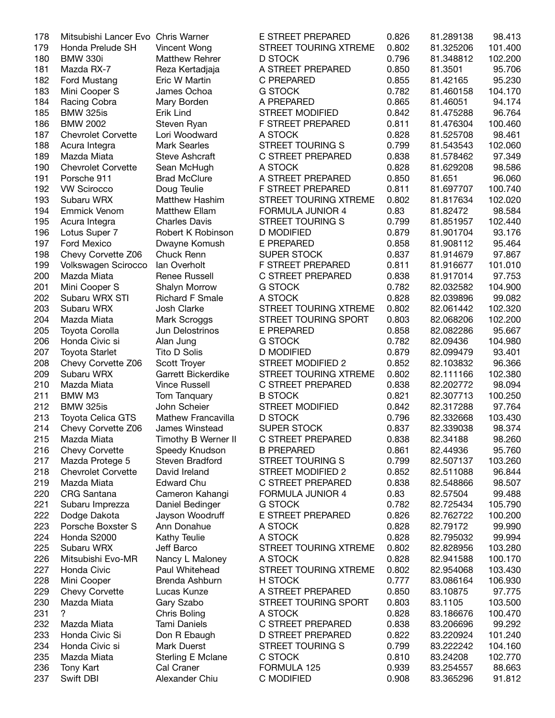| 178 | Mitsubishi Lancer Evo Chris Warner |                        | E STREET PREPARED        | 0.826 | 81.289138 | 98.413  |
|-----|------------------------------------|------------------------|--------------------------|-------|-----------|---------|
| 179 | Honda Prelude SH                   | Vincent Wong           | STREET TOURING XTREME    | 0.802 | 81.325206 | 101.400 |
| 180 | <b>BMW 330i</b>                    | <b>Matthew Rehrer</b>  | <b>D STOCK</b>           | 0.796 | 81.348812 | 102.200 |
| 181 | Mazda RX-7                         | Reza Kertadjaja        | A STREET PREPARED        | 0.850 | 81.3501   | 95.706  |
| 182 | Ford Mustang                       | Eric W Martin          | C PREPARED               | 0.855 | 81.42165  | 95.230  |
| 183 | Mini Cooper S                      | James Ochoa            | <b>G STOCK</b>           | 0.782 | 81.460158 | 104.170 |
| 184 | Racing Cobra                       | Mary Borden            | A PREPARED               | 0.865 | 81.46051  | 94.174  |
| 185 | <b>BMW 325is</b>                   | Erik Lind              | <b>STREET MODIFIED</b>   | 0.842 | 81.475288 | 96.764  |
| 186 | <b>BMW 2002</b>                    | Steven Ryan            | F STREET PREPARED        | 0.811 | 81.476304 | 100.460 |
| 187 | <b>Chevrolet Corvette</b>          | Lori Woodward          | A STOCK                  | 0.828 | 81.525708 | 98.461  |
| 188 | Acura Integra                      | <b>Mark Searles</b>    | <b>STREET TOURING S</b>  | 0.799 | 81.543543 | 102.060 |
| 189 | Mazda Miata                        | Steve Ashcraft         | C STREET PREPARED        | 0.838 | 81.578462 | 97.349  |
| 190 |                                    |                        | A STOCK                  | 0.828 | 81.629208 | 98.586  |
|     | <b>Chevrolet Corvette</b>          | Sean McHugh            |                          |       |           |         |
| 191 | Porsche 911                        | <b>Brad McClure</b>    | A STREET PREPARED        | 0.850 | 81.651    | 96.060  |
| 192 | <b>VW Scirocco</b>                 | Doug Teulie            | F STREET PREPARED        | 0.811 | 81.697707 | 100.740 |
| 193 | Subaru WRX                         | <b>Matthew Hashim</b>  | STREET TOURING XTREME    | 0.802 | 81.817634 | 102.020 |
| 194 | <b>Emmick Venom</b>                | <b>Matthew Ellam</b>   | <b>FORMULA JUNIOR 4</b>  | 0.83  | 81.82472  | 98.584  |
| 195 | Acura Integra                      | <b>Charles Davis</b>   | <b>STREET TOURING S</b>  | 0.799 | 81.851957 | 102.440 |
| 196 | Lotus Super 7                      | Robert K Robinson      | <b>D MODIFIED</b>        | 0.879 | 81.901704 | 93.176  |
| 197 | <b>Ford Mexico</b>                 | Dwayne Komush          | <b>E PREPARED</b>        | 0.858 | 81.908112 | 95.464  |
| 198 | Chevy Corvette Z06                 | Chuck Renn             | <b>SUPER STOCK</b>       | 0.837 | 81.914679 | 97.867  |
| 199 | Volkswagen Scirocco                | lan Overholt           | F STREET PREPARED        | 0.811 | 81.916677 | 101.010 |
| 200 | Mazda Miata                        | Renee Russell          | C STREET PREPARED        | 0.838 | 81.917014 | 97.753  |
| 201 | Mini Cooper S                      | Shalyn Morrow          | <b>G STOCK</b>           | 0.782 | 82.032582 | 104.900 |
| 202 | Subaru WRX STI                     | <b>Richard F Smale</b> | A STOCK                  | 0.828 | 82.039896 | 99.082  |
| 203 | Subaru WRX                         | Josh Clarke            | STREET TOURING XTREME    | 0.802 | 82.061442 | 102.320 |
| 204 | Mazda Miata                        | Mark Scroggs           | STREET TOURING SPORT     | 0.803 | 82.068206 | 102.200 |
| 205 | Toyota Corolla                     | Jun Delostrinos        | <b>E PREPARED</b>        | 0.858 | 82.082286 | 95.667  |
| 206 | Honda Civic si                     | Alan Jung              | <b>G STOCK</b>           | 0.782 | 82.09436  | 104.980 |
| 207 | <b>Toyota Starlet</b>              | Tito D Solis           | <b>D MODIFIED</b>        | 0.879 | 82.099479 | 93.401  |
| 208 | Chevy Corvette Z06                 | Scott Troyer           | <b>STREET MODIFIED 2</b> | 0.852 | 82.103832 | 96.366  |
|     |                                    |                        |                          |       |           |         |
| 209 | Subaru WRX                         | Garrett Bickerdike     | STREET TOURING XTREME    | 0.802 | 82.111166 | 102.380 |
| 210 | Mazda Miata                        | <b>Vince Russell</b>   | <b>C STREET PREPARED</b> | 0.838 | 82.202772 | 98.094  |
| 211 | BMW M3                             | Tom Tanquary           | <b>B STOCK</b>           | 0.821 | 82.307713 | 100.250 |
| 212 | <b>BMW 325is</b>                   | John Scheier           | <b>STREET MODIFIED</b>   | 0.842 | 82.317288 | 97.764  |
| 213 | <b>Toyota Celica GTS</b>           | Mathew Francavilla     | <b>D STOCK</b>           | 0.796 | 82.332668 | 103.430 |
| 214 | Chevy Corvette Z06                 | James Winstead         | <b>SUPER STOCK</b>       | 0.837 | 82.339038 | 98.374  |
| 215 | Mazda Miata                        | Timothy B Werner II    | C STREET PREPARED        | 0.838 | 82.34188  | 98.260  |
| 216 | <b>Chevy Corvette</b>              | Speedy Knudson         | <b>B PREPARED</b>        | 0.861 | 82.44936  | 95.760  |
| 217 | Mazda Protege 5                    | Steven Bradford        | <b>STREET TOURING S</b>  | 0.799 | 82.507137 | 103.260 |
| 218 | <b>Chevrolet Corvette</b>          | David Ireland          | STREET MODIFIED 2        | 0.852 | 82.511088 | 96.844  |
| 219 | Mazda Miata                        | <b>Edward Chu</b>      | C STREET PREPARED        | 0.838 | 82.548866 | 98.507  |
| 220 | <b>CRG</b> Santana                 | Cameron Kahangi        | FORMULA JUNIOR 4         | 0.83  | 82.57504  | 99.488  |
| 221 | Subaru Imprezza                    | Daniel Bedinger        | <b>G STOCK</b>           | 0.782 | 82.725434 | 105.790 |
| 222 | Dodge Dakota                       | Jayson Woodruff        | E STREET PREPARED        | 0.826 | 82.762722 | 100.200 |
| 223 | Porsche Boxster S                  | Ann Donahue            | A STOCK                  | 0.828 | 82.79172  | 99.990  |
| 224 | Honda S2000                        | Kathy Teulie           | A STOCK                  | 0.828 | 82.795032 | 99.994  |
| 225 | Subaru WRX                         | Jeff Barco             | STREET TOURING XTREME    | 0.802 | 82.828956 | 103.280 |
| 226 | Mitsubishi Evo-MR                  | Nancy L Maloney        | A STOCK                  | 0.828 | 82.941588 | 100.170 |
| 227 | Honda Civic                        | Paul Whitehead         | STREET TOURING XTREME    | 0.802 | 82.954068 | 103.430 |
| 228 | Mini Cooper                        | Brenda Ashburn         | H STOCK                  | 0.777 | 83.086164 | 106.930 |
| 229 | <b>Chevy Corvette</b>              | Lucas Kunze            | A STREET PREPARED        | 0.850 | 83.10875  | 97.775  |
|     |                                    |                        |                          |       |           |         |
| 230 | Mazda Miata                        | Gary Szabo             | STREET TOURING SPORT     | 0.803 | 83.1105   | 103.500 |
| 231 | ?                                  | Chris Boling           | A STOCK                  | 0.828 | 83.186676 | 100.470 |
| 232 | Mazda Miata                        | Tami Daniels           | C STREET PREPARED        | 0.838 | 83.206696 | 99.292  |
| 233 | Honda Civic Si                     | Don R Ebaugh           | <b>D STREET PREPARED</b> | 0.822 | 83.220924 | 101.240 |
| 234 | Honda Civic si                     | Mark Duerst            | <b>STREET TOURING S</b>  | 0.799 | 83.222242 | 104.160 |
| 235 | Mazda Miata                        | Sterling E Mclane      | C STOCK                  | 0.810 | 83.24208  | 102.770 |
| 236 | Tony Kart                          | Cal Craner             | FORMULA 125              | 0.939 | 83.254557 | 88.663  |
| 237 | Swift DBI                          | Alexander Chiu         | C MODIFIED               | 0.908 | 83.365296 | 91.812  |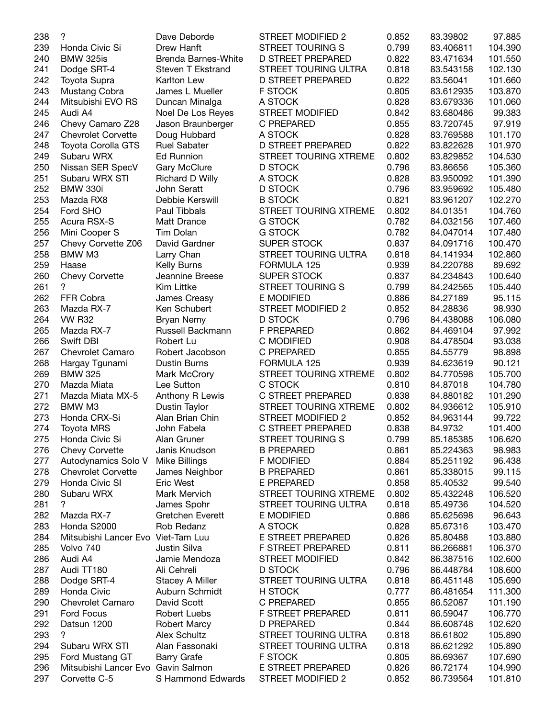| 238 | ?                                  | Dave Deborde            | STREET MODIFIED 2        | 0.852 | 83.39802  | 97.885  |
|-----|------------------------------------|-------------------------|--------------------------|-------|-----------|---------|
| 239 | Honda Civic Si                     | Drew Hanft              | <b>STREET TOURING S</b>  | 0.799 | 83.406811 | 104.390 |
| 240 | <b>BMW 325is</b>                   | Brenda Barnes-White     | <b>D STREET PREPARED</b> | 0.822 | 83.471634 | 101.550 |
| 241 | Dodge SRT-4                        | Steven T Ekstrand       | STREET TOURING ULTRA     | 0.818 | 83.543158 | 102.130 |
| 242 | Toyota Supra                       | <b>Karlton Lew</b>      | <b>D STREET PREPARED</b> | 0.822 | 83.56041  | 101.660 |
| 243 | Mustang Cobra                      | James L Mueller         | <b>F STOCK</b>           | 0.805 | 83.612935 | 103.870 |
| 244 | Mitsubishi EVO RS                  | Duncan Minalga          | A STOCK                  | 0.828 | 83.679336 | 101.060 |
| 245 | Audi A4                            | Noel De Los Reyes       | <b>STREET MODIFIED</b>   | 0.842 | 83.680486 | 99.383  |
| 246 | Chevy Camaro Z28                   | Jason Braunberger       | <b>C PREPARED</b>        | 0.855 | 83.720745 | 97.919  |
| 247 | <b>Chevrolet Corvette</b>          | Doug Hubbard            | A STOCK                  | 0.828 | 83.769588 | 101.170 |
| 248 | <b>Toyota Corolla GTS</b>          | <b>Ruel Sabater</b>     | <b>D STREET PREPARED</b> | 0.822 | 83.822628 | 101.970 |
|     |                                    |                         |                          |       |           |         |
| 249 | Subaru WRX                         | <b>Ed Runnion</b>       | STREET TOURING XTREME    | 0.802 | 83.829852 | 104.530 |
| 250 | Nissan SER SpecV                   | Gary McClure            | <b>D STOCK</b>           | 0.796 | 83.86656  | 105.360 |
| 251 | Subaru WRX STI                     | Richard D Willy         | A STOCK                  | 0.828 | 83.950092 | 101.390 |
| 252 | <b>BMW 330i</b>                    | John Seratt             | <b>D STOCK</b>           | 0.796 | 83.959692 | 105.480 |
| 253 | Mazda RX8                          | Debbie Kerswill         | <b>B STOCK</b>           | 0.821 | 83.961207 | 102.270 |
| 254 | Ford SHO                           | Paul Tibbals            | STREET TOURING XTREME    | 0.802 | 84.01351  | 104.760 |
| 255 | Acura RSX-S                        | Matt Drance             | <b>G STOCK</b>           | 0.782 | 84.032156 | 107.460 |
| 256 | Mini Cooper S                      | <b>Tim Dolan</b>        | <b>G STOCK</b>           | 0.782 | 84.047014 | 107.480 |
| 257 | Chevy Corvette Z06                 | David Gardner           | <b>SUPER STOCK</b>       | 0.837 | 84.091716 | 100.470 |
| 258 | BMW M3                             | Larry Chan              | STREET TOURING ULTRA     | 0.818 | 84.141934 | 102.860 |
| 259 | Haase                              | Kelly Burns             | FORMULA 125              | 0.939 | 84.220788 | 89.692  |
| 260 | <b>Chevy Corvette</b>              | Jeannine Breese         | <b>SUPER STOCK</b>       | 0.837 | 84.234843 | 100.640 |
| 261 | $\overline{?}$                     | Kim Littke              | <b>STREET TOURING S</b>  | 0.799 | 84.242565 | 105.440 |
| 262 | FFR Cobra                          | James Creasy            | <b>E MODIFIED</b>        | 0.886 | 84.27189  | 95.115  |
| 263 | Mazda RX-7                         | Ken Schubert            | STREET MODIFIED 2        | 0.852 | 84.28836  | 98.930  |
| 264 | <b>VW R32</b>                      | Bryan Nemy              | <b>D STOCK</b>           | 0.796 | 84.438088 | 106.080 |
| 265 | Mazda RX-7                         | Russell Backmann        | <b>F PREPARED</b>        | 0.862 | 84.469104 | 97.992  |
| 266 | Swift DBI                          | Robert Lu               | <b>C MODIFIED</b>        | 0.908 | 84.478504 | 93.038  |
| 267 | Chevrolet Camaro                   | Robert Jacobson         | <b>C PREPARED</b>        | 0.855 | 84.55779  | 98.898  |
| 268 | Hargay Tgunami                     | Dustin Burns            | FORMULA 125              | 0.939 | 84.623619 | 90.121  |
| 269 | <b>BMW 325</b>                     | Mark McCrory            | STREET TOURING XTREME    | 0.802 | 84.770598 | 105.700 |
| 270 |                                    |                         |                          | 0.810 |           |         |
|     | Mazda Miata                        | Lee Sutton              | C STOCK                  |       | 84.87018  | 104.780 |
| 271 | Mazda Miata MX-5                   | Anthony R Lewis         | C STREET PREPARED        | 0.838 | 84.880182 | 101.290 |
| 272 | BMW M3                             | Dustin Taylor           | STREET TOURING XTREME    | 0.802 | 84.936612 | 105.910 |
| 273 | Honda CRX-Si                       | Alan Brian Chin         | STREET MODIFIED 2        | 0.852 | 84.963144 | 99.722  |
| 274 | <b>Toyota MRS</b>                  | John Fabela             | C STREET PREPARED        | 0.838 | 84.9732   | 101.400 |
| 275 | Honda Civic Si                     | Alan Gruner             | STREET TOURING S         | 0.799 | 85.185385 | 106.620 |
| 276 | <b>Chevy Corvette</b>              | Janis Knudson           | <b>B PREPARED</b>        | 0.861 | 85.224363 | 98.983  |
| 277 | Autodynamics Solo V                | <b>Mike Billings</b>    | <b>F MODIFIED</b>        | 0.884 | 85.251192 | 96.438  |
| 278 | <b>Chevrolet Corvette</b>          | James Neighbor          | <b>B PREPARED</b>        | 0.861 | 85.338015 | 99.115  |
| 279 | Honda Civic SI                     | <b>Eric West</b>        | <b>E PREPARED</b>        | 0.858 | 85.40532  | 99.540  |
| 280 | Subaru WRX                         | Mark Mervich            | STREET TOURING XTREME    | 0.802 | 85.432248 | 106.520 |
| 281 | ?                                  | James Spohr             | STREET TOURING ULTRA     | 0.818 | 85.49736  | 104.520 |
| 282 | Mazda RX-7                         | <b>Gretchen Everett</b> | E MODIFIED               | 0.886 | 85.625698 | 96.643  |
| 283 | Honda S2000                        | Rob Redanz              | A STOCK                  | 0.828 | 85.67316  | 103.470 |
| 284 | Mitsubishi Lancer Evo Viet-Tam Luu |                         | E STREET PREPARED        | 0.826 | 85.80488  | 103.880 |
| 285 | Volvo 740                          | Justin Silva            | F STREET PREPARED        | 0.811 | 86.266881 | 106.370 |
| 286 | Audi A4                            | Jamie Mendoza           | <b>STREET MODIFIED</b>   | 0.842 | 86.387516 | 102.600 |
| 287 | Audi TT180                         | Ali Cehreli             | <b>D STOCK</b>           | 0.796 | 86.448784 | 108.600 |
| 288 | Dodge SRT-4                        | <b>Stacey A Miller</b>  | STREET TOURING ULTRA     | 0.818 | 86.451148 | 105.690 |
| 289 | Honda Civic                        | Auburn Schmidt          | H STOCK                  | 0.777 | 86.481654 | 111.300 |
| 290 | Chevrolet Camaro                   | David Scott             | C PREPARED               | 0.855 | 86.52087  | 101.190 |
| 291 | Ford Focus                         | Robert Luebs            | F STREET PREPARED        | 0.811 | 86.59047  | 106.770 |
|     |                                    |                         |                          |       |           |         |
| 292 | Datsun 1200<br>?                   | <b>Robert Marcy</b>     | D PREPARED               | 0.844 | 86.608748 | 102.620 |
| 293 |                                    | <b>Alex Schultz</b>     | STREET TOURING ULTRA     | 0.818 | 86.61802  | 105.890 |
| 294 | Subaru WRX STI                     | Alan Fassonaki          | STREET TOURING ULTRA     | 0.818 | 86.621292 | 105.890 |
| 295 | Ford Mustang GT                    | <b>Barry Grafe</b>      | F STOCK                  | 0.805 | 86.69367  | 107.690 |
| 296 | Mitsubishi Lancer Evo Gavin Salmon |                         | E STREET PREPARED        | 0.826 | 86.72174  | 104.990 |
| 297 | Corvette C-5                       | S Hammond Edwards       | STREET MODIFIED 2        | 0.852 | 86.739564 | 101.810 |